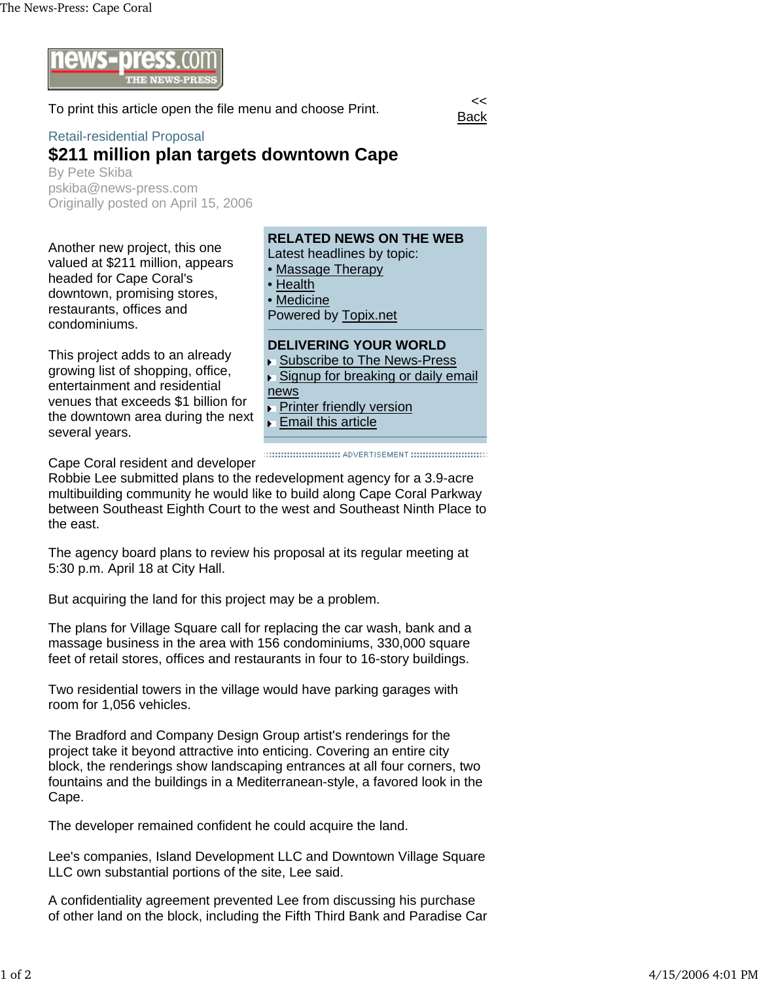

To print this article open the file menu and choose Print.



## Retail-residential Proposal

## **\$211 million plan targets downtown Cape**

By Pete Skiba pskiba@news-press.com Originally posted on April 15, 2006

Another new project, this one valued at \$211 million, appears headed for Cape Coral's downtown, promising stores, restaurants, offices and condominiums.

This project adds to an already growing list of shopping, office, entertainment and residential venues that exceeds \$1 billion for the downtown area during the next several years.

## **RELATED NEWS ON THE WEB**

**Back** 

Latest headlines by topic:

- Massage Therapy
- **Health**
- **Medicine**

Powered by Topix.net

## **DELIVERING YOUR WORLD**

- ▶ Subscribe to The News-Press
- Signup for breaking or daily email
- news
- **Printer friendly version**
- **Email this article**

Cape Coral resident and developer

Robbie Lee submitted plans to the redevelopment agency for a 3.9-acre multibuilding community he would like to build along Cape Coral Parkway between Southeast Eighth Court to the west and Southeast Ninth Place to the east.

The agency board plans to review his proposal at its regular meeting at 5:30 p.m. April 18 at City Hall.

But acquiring the land for this project may be a problem.

The plans for Village Square call for replacing the car wash, bank and a massage business in the area with 156 condominiums, 330,000 square feet of retail stores, offices and restaurants in four to 16-story buildings.

Two residential towers in the village would have parking garages with room for 1,056 vehicles.

The Bradford and Company Design Group artist's renderings for the project take it beyond attractive into enticing. Covering an entire city block, the renderings show landscaping entrances at all four corners, two fountains and the buildings in a Mediterranean-style, a favored look in the Cape.

The developer remained confident he could acquire the land.

Lee's companies, Island Development LLC and Downtown Village Square LLC own substantial portions of the site, Lee said.

A confidentiality agreement prevented Lee from discussing his purchase of other land on the block, including the Fifth Third Bank and Paradise Car